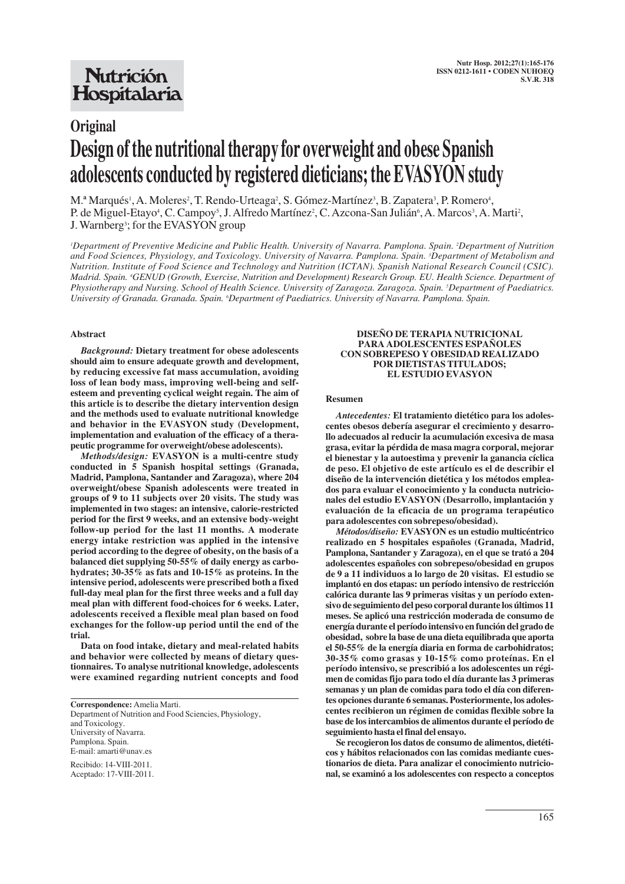## **Nutrición** Hospitalaria

# **Original Design of the nutritional therapy for overweight and obese Spanish adolescents conducted by registered dieticians; the EVASYON study**

M.ª Marqués<sup>1</sup>, A. Moleres<sup>2</sup>, T. Rendo-Urteaga<sup>2</sup>, S. Gómez-Martínez<sup>3</sup>, B. Zapatera<sup>3</sup>, P. Romero<sup>4</sup>, P. de Miguel-Etayo<sup>4</sup>, C. Campoy<sup>5</sup>, J. Alfredo Martínez<sup>2</sup>, C. Azcona-San Julián<sup>6</sup>, A. Marcos<sup>3</sup>, A. Marti<sup>2</sup>, J. Warnberg<sup>3</sup>; for the EVASYON group

*1 Department of Preventive Medicine and Public Health. University of Navarra. Pamplona. Spain. 2 Department of Nutrition and Food Sciences, Physiology, and Toxicology. University of Navarra. Pamplona. Spain. 3 Department of Metabolism and Nutrition. Institute of Food Science and Technology and Nutrition (ICTAN). Spanish National Research Council (CSIC). Madrid. Spain. 4 GENUD (Growth, Exercise, Nutrition and Development) Research Group. EU. Health Science. Department of Physiotherapy and Nursing. School of Health Science. University of Zaragoza. Zaragoza. Spain. 5 Department of Paediatrics. University of Granada. Granada. Spain. 6 Department of Paediatrics. University of Navarra. Pamplona. Spain.*

#### **Abstract**

*Background:* **Dietary treatment for obese adolescents should aim to ensure adequate growth and development, by reducing excessive fat mass accumulation, avoiding loss of lean body mass, improving well-being and selfesteem and preventing cyclical weight regain. The aim of this article is to describe the dietary intervention design and the methods used to evaluate nutritional knowledge and behavior in the EVASYON study (Development, implementation and evaluation of the efficacy of a therapeutic programme for overweight/obese adolescents).**

*Methods/design:* **EVASYON is a multi-centre study conducted in 5 Spanish hospital settings (Granada, Madrid, Pamplona, Santander and Zaragoza), where 204 overweight/obese Spanish adolescents were treated in groups of 9 to 11 subjects over 20 visits. The study was implemented in two stages: an intensive, calorie-restricted period for the first 9 weeks, and an extensive body-weight follow-up period for the last 11 months. A moderate energy intake restriction was applied in the intensive period according to the degree of obesity, on the basis of a balanced diet supplying 50-55% of daily energy as carbohydrates; 30-35% as fats and 10-15% as proteins. In the intensive period, adolescents were prescribed both a fixed full-day meal plan for the first three weeks and a full day meal plan with different food-choices for 6 weeks. Later, adolescents received a flexible meal plan based on food exchanges for the follow-up period until the end of the trial.**

**Data on food intake, dietary and meal-related habits and behavior were collected by means of dietary questionnaires. To analyse nutritional knowledge, adolescents were examined regarding nutrient concepts and food**

**Correspondence:** Amelia Marti.

Department of Nutrition and Food Sciencies, Physiology, and Toxicology. University of Navarra. Pamplona. Spain. E-mail: amarti@unav.es

Recibido: 14-VIII-2011. Aceptado: 17-VIII-2011.

#### **DISEÑO DE TERAPIA NUTRICIONAL PARA ADOLESCENTES ESPAÑOLES CON SOBREPESO Y OBESIDAD REALIZADO POR DIETISTAS TITULADOS; EL ESTUDIO EVASYON**

#### **Resumen**

*Antecedentes:* **El tratamiento dietético para los adolescentes obesos debería asegurar el crecimiento y desarrollo adecuados al reducir la acumulación excesiva de masa grasa, evitar la pérdida de masa magra corporal, mejorar el bienestar y la autoestima y prevenir la ganancia cíclica de peso. El objetivo de este artículo es el de describir el diseño de la intervención dietética y los métodos empleados para evaluar el conocimiento y la conducta nutricionales del estudio EVASYON (Desarrollo, implantación y evaluación de la eficacia de un programa terapéutico para adolescentes con sobrepeso/obesidad).** 

*Métodos/diseño:* **EVASYON es un estudio multicéntrico realizado en 5 hospitales españoles (Granada, Madrid, Pamplona, Santander y Zaragoza), en el que se trató a 204 adolescentes españoles con sobrepeso/obesidad en grupos de 9 a 11 individuos a lo largo de 20 visitas. El estudio se implantó en dos etapas: un período intensivo de restricción calórica durante las 9 primeras visitas y un período extensivo de seguimiento del peso corporal durante los últimos 11 meses. Se aplicó una restricción moderada de consumo de energía durante el período intensivo en función del grado de obesidad, sobre la base de una dieta equilibrada que aporta el 50-55% de la energía diaria en forma de carbohidratos; 30-35% como grasas y 10-15% como proteínas. En el período intensivo, se prescribió a los adolescentes un régimen de comidas fijo para todo el día durante las 3 primeras semanas y un plan de comidas para todo el día con diferentes opciones durante 6 semanas. Posteriormente, los adolescentes recibieron un régimen de comidas flexible sobre la base de los intercambios de alimentos durante el período de seguimiento hasta el final del ensayo.** 

**Se recogieron los datos de consumo de alimentos, dietéticos y hábitos relacionados con las comidas mediante cuestionarios de dieta. Para analizar el conocimiento nutricional, se examinó a los adolescentes con respecto a conceptos**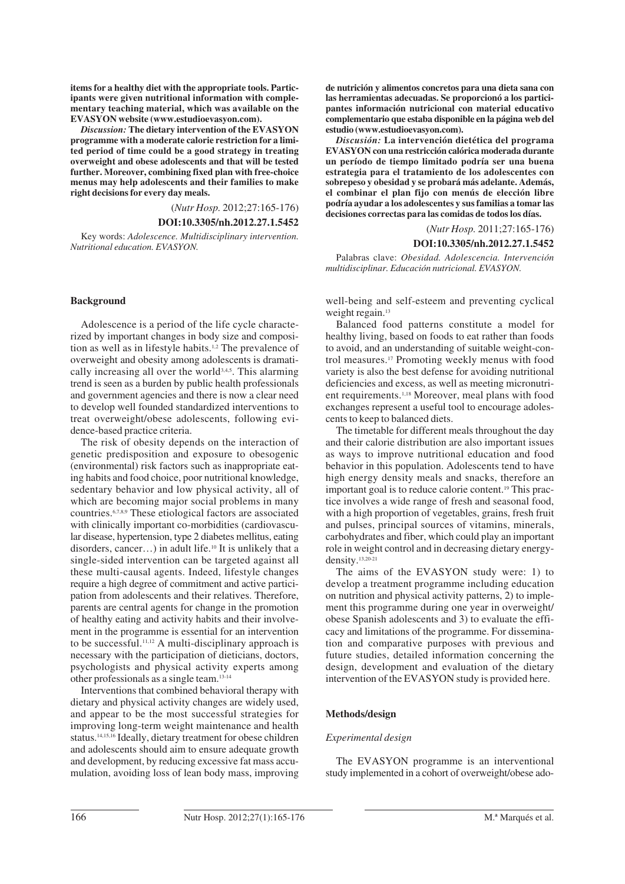**items for a healthy diet with the appropriate tools. Participants were given nutritional information with complementary teaching material, which was available on the EVASYON website (www.estudioevasyon.com).**

*Discussion:* **The dietary intervention of the EVASYON programme with a moderate calorie restriction for a limi ted period of time could be a good strategy in treating overweight and obese adolescents and that will be tested further. Moreover, combining fixed plan with free-choice menus may help adolescents and their families to make right decisions for every day meals.**

(*Nutr Hosp.* 2012;27:165-176)

## **DOI:10.3305/nh.2012.27.1.5452**

Key words: *Adolescence. Multidisciplinary intervention. Nutritional education. EVASYON.*

## **Background**

Adolescence is a period of the life cycle characte rized by important changes in body size and composition as well as in lifestyle habits.1,2 The prevalence of overweight and obesity among adolescents is dramatically increasing all over the world<sup>3,4,5</sup>. This alarming trend is seen as a burden by public health professionals and government agencies and there is now a clear need to develop well founded standardized interventions to treat overweight/obese adolescents, following evidence-based practice criteria.

The risk of obesity depends on the interaction of genetic predisposition and exposure to obesogenic (environmental) risk factors such as inappropriate eating habits and food choice, poor nutritional knowledge, sedentary behavior and low physical activity, all of which are becoming major social problems in many countries.6,7,8,9 These etiological factors are associated with clinically important co-morbidities (cardiovascular disease, hypertension, type 2 diabetes mellitus, eating disorders, cancer…) in adult life.10 It is unlikely that a single-sided intervention can be targeted against all these multi-causal agents. Indeed, lifestyle changes require a high degree of commitment and active partici pation from adolescents and their relatives. Therefore, parents are central agents for change in the promotion of healthy eating and activity habits and their involvement in the programme is essential for an intervention to be successful.11,12 A multi-disciplinary approach is necessary with the participation of dieticians, doctors, psychologists and physical activity experts among other professionals as a single team.13-14

Interventions that combined behavioral therapy with dietary and physical activity changes are widely used, and appear to be the most successful strategies for improving long-term weight maintenance and health status.14,15,16 Ideally, dietary treatment for obese children and adolescents should aim to ensure adequate growth and development, by reducing excessive fat mass accumulation, avoiding loss of lean body mass, improving **de nutrición y alimentos concretos para una dieta sana con las herramientas adecuadas. Se proporcionó a los participantes información nutricional con material educativo complementario que estaba disponible en la página web del estudio (www.estudioevasyon.com).** 

*Discusión:* **La intervención dietética del programa EVASYON con una restricción calórica moderada durante un período de tiempo limitado podría ser una buena estrategia para el tratamiento de los adolescentes con sobrepeso y obesidad y se probará más adelante. Además, el combinar el plan fijo con menús de elección libre podría ayudar a los adolescentes y sus familias a tomar las decisiones correctas para las comidas de todos los días.**

(*Nutr Hosp.* 2011;27:165-176)

#### **DOI:10.3305/nh.2012.27.1.5452**

Palabras clave: *Obesidad. Adolescencia. Intervención multidisciplinar. Educación nutricional. EVASYON.*

well-being and self-esteem and preventing cyclical weight regain.<sup>13</sup>

Balanced food patterns constitute a model for healthy living, based on foods to eat rather than foods to avoid, and an understanding of suitable weight-control measures.17 Promoting weekly menus with food variety is also the best defense for avoiding nutritional deficiencies and excess, as well as meeting micronutrient requirements.1,18 Moreover, meal plans with food exchanges represent a useful tool to encourage adolescents to keep to balanced diets.

The timetable for different meals throughout the day and their calorie distribution are also important issues as ways to improve nutritional education and food behavior in this population. Adolescents tend to have high energy density meals and snacks, therefore an important goal is to reduce calorie content.19 This practice involves a wide range of fresh and seasonal food, with a high proportion of vegetables, grains, fresh fruit and pulses, principal sources of vitamins, minerals, carbohydrates and fiber, which could play an important role in weight control and in decreasing dietary energydensity.13,20-21

The aims of the EVASYON study were: 1) to develop a treatment programme including education on nutrition and physical activity patterns, 2) to implement this programme during one year in overweight/ obese Spanish adolescents and 3) to evaluate the efficacy and limitations of the programme. For dissemination and comparative purposes with previous and future studies, detailed information concerning the design, development and evaluation of the dietary intervention of the EVASYON study is provided here.

## **Methods/design**

#### *Experimental design*

The EVASYON programme is an interventional study implemented in a cohort of overweight/obese ado-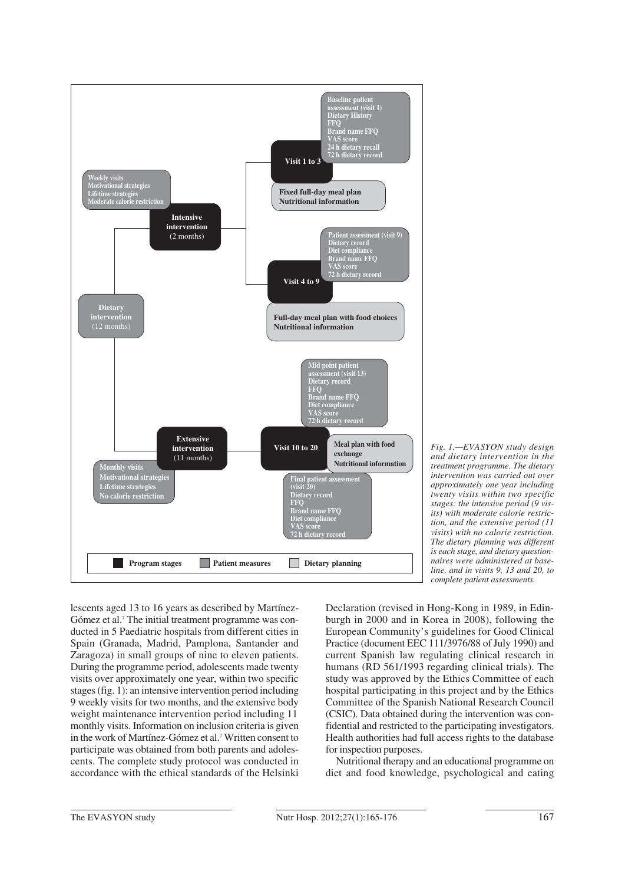

*Fig. 1.—EVASYON study design and dietary intervention in the treatment programme. The dietary intervention was carried out over approximately one year including twenty visits within two specific stages: the intensive period (9 visits) with moderate calorie restriction, and the extensive period (11 visits) with no calorie restriction. The dietary planning was different is each stage, and dietary questionnaires were administered at baseline, and in visits 9, 13 and 20, to complete patient assessments.*

lescents aged 13 to 16 years as described by Martínez-Gómez et al.7 The initial treatment programme was conducted in 5 Paediatric hospitals from different cities in Spain (Granada, Madrid, Pamplona, Santander and Zaragoza) in small groups of nine to eleven patients. During the programme period, adolescents made twenty visits over approximately one year, within two specific stages (fig. 1): an intensive intervention period including 9 weekly visits for two months, and the extensive body weight maintenance intervention period including 11 monthly visits. Information on inclusion criteria is given in the work of Martínez-Gómez et al.7 Written consent to participate was obtained from both parents and adolescents. The complete study protocol was conducted in accordance with the ethical standards of the Helsinki Declaration (revised in Hong-Kong in 1989, in Edinburgh in 2000 and in Korea in 2008), following the European Community's guidelines for Good Clinical Practice (document EEC 111/3976/88 of July 1990) and current Spanish law regulating clinical research in humans (RD 561/1993 regarding clinical trials). The study was approved by the Ethics Committee of each hospital participating in this project and by the Ethics Committee of the Spanish National Research Council (CSIC). Data obtained during the intervention was confidential and restricted to the participating investigators. Health authorities had full access rights to the database for inspection purposes.

Nutritional therapy and an educational programme on diet and food knowledge, psychological and eating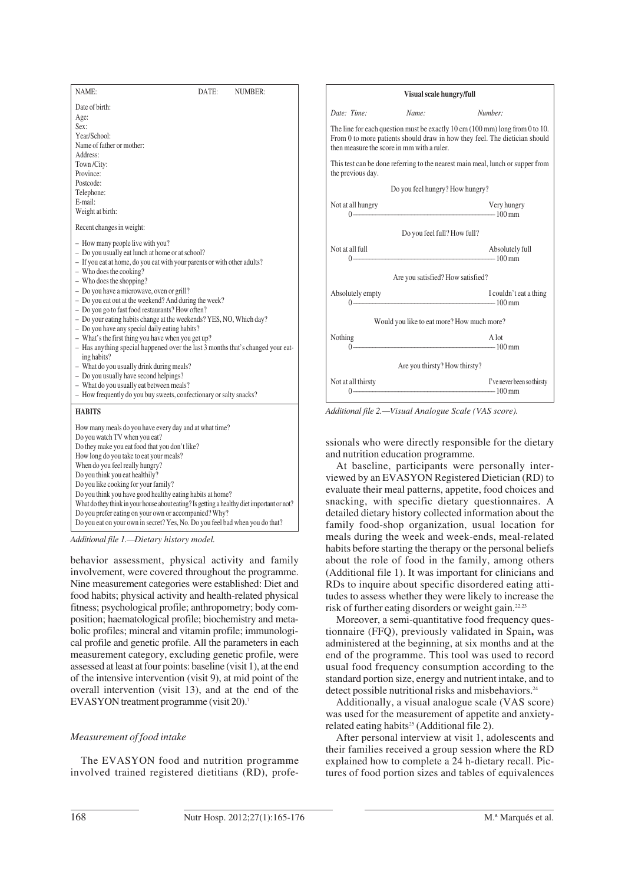| NAME:                                                                                                                                                                                                                                                                                                                                                                                                                                                                                                                                                                                                                                                                                                                                                                                                                                                                         | DATE: | NUMBER: |
|-------------------------------------------------------------------------------------------------------------------------------------------------------------------------------------------------------------------------------------------------------------------------------------------------------------------------------------------------------------------------------------------------------------------------------------------------------------------------------------------------------------------------------------------------------------------------------------------------------------------------------------------------------------------------------------------------------------------------------------------------------------------------------------------------------------------------------------------------------------------------------|-------|---------|
| Date of birth:<br>Age:<br>Sex:<br>Year/School:<br>Name of father or mother:<br>Address:<br>Town/City:<br>Province:<br>Postcode:<br>Telephone:<br>E-mail:<br>Weight at birth:                                                                                                                                                                                                                                                                                                                                                                                                                                                                                                                                                                                                                                                                                                  |       |         |
| Recent changes in weight:                                                                                                                                                                                                                                                                                                                                                                                                                                                                                                                                                                                                                                                                                                                                                                                                                                                     |       |         |
| - How many people live with you?<br>- Do you usually eat lunch at home or at school?<br>- If you eat at home, do you eat with your parents or with other adults?<br>$-$ Who does the cooking?<br>- Who does the shopping?<br>- Do you have a microwave, oven or grill?<br>- Do you eat out at the weekend? And during the week?<br>- Do you go to fast food restaurants? How often?<br>- Do your eating habits change at the weekends? YES, NO, Which day?<br>- Do you have any special daily eating habits?<br>- What's the first thing you have when you get up?<br>- Has anything special happened over the last 3 months that's changed your eat-<br>ing habits?<br>- What do you usually drink during meals?<br>- Do you usually have second helpings?<br>- What do you usually eat between meals?<br>- How frequently do you buy sweets, confectionary or salty snacks? |       |         |
| <b>HABITS</b><br>How many meals do you have every day and at what time?<br>Do you watch TV when you eat?<br>Do they make you eat food that you don't like?<br>How long do you take to eat your meals?<br>When do you feel really hungry?<br>Do you think you eat healthily?<br>Do you like cooking for your family?<br>Do you think you have good healthy eating habits at home?<br>What do they think in your house about eating? Is getting a healthy diet important or not?<br>Do you prefer eating on your own or accompanied? Why?<br>Do you eat on your own in secret? Yes, No. Do you feel bad when you do that?                                                                                                                                                                                                                                                       |       |         |

*Additional file 1.—Dietary history model.*

behavior assessment, physical activity and family involvement, were covered throughout the programme. Nine measurement categories were established: Diet and food habits; physical activity and health-related physical fitness; psychological profile; anthropometry; body composition; haematological profile; biochemistry and metabolic profiles; mineral and vitamin profile; immunological profile and genetic profile. All the parameters in each measurement category, excluding genetic profile, were assessed at least at four points: baseline (visit 1), at the end of the intensive intervention (visit 9), at mid point of the overall intervention (visit 13), and at the end of the EVASYON treatment programme (visit 20).7

## *Measurement of food intake*

The EVASYON food and nutrition programme involved trained registered dietitians (RD), profe-

| Visual scale hungry/full                   |                                                                                                                                                                                                                                   |                            |  |  |
|--------------------------------------------|-----------------------------------------------------------------------------------------------------------------------------------------------------------------------------------------------------------------------------------|----------------------------|--|--|
| Date: Time:                                | Name:                                                                                                                                                                                                                             | Number:                    |  |  |
|                                            | The line for each question must be exactly $10 \text{ cm}$ ( $100 \text{ mm}$ ) long from 0 to $10$ .<br>From 0 to more patients should draw in how they feel. The dietician should<br>then measure the score in mm with a ruler. |                            |  |  |
| the previous day.                          | This test can be done referring to the nearest main meal, lunch or supper from                                                                                                                                                    |                            |  |  |
|                                            | Do you feel hungry? How hungry?                                                                                                                                                                                                   |                            |  |  |
| Not at all hungry                          | $0 \rightarrow 100 \text{ mm}$                                                                                                                                                                                                    | Very hungry                |  |  |
|                                            | Do you feel full? How full?                                                                                                                                                                                                       |                            |  |  |
| Not at all full                            | $0$ – $100 \text{ mm}$                                                                                                                                                                                                            | Absolutely full            |  |  |
|                                            | Are you satisfied? How satisfied?                                                                                                                                                                                                 |                            |  |  |
| Absolutely empty                           | $0 - 100$ mm                                                                                                                                                                                                                      | I couldn't eat a thing     |  |  |
| Would you like to eat more? How much more? |                                                                                                                                                                                                                                   |                            |  |  |
| Nothing<br>$0 -$                           | $100 \text{ mm}$                                                                                                                                                                                                                  | A lot                      |  |  |
|                                            | Are you thirsty? How thirsty?                                                                                                                                                                                                     |                            |  |  |
| Not at all thirsty                         | $0$ $-$ 100 mm                                                                                                                                                                                                                    | I've never been so thirsty |  |  |

*Additional file 2.—Visual Analogue Scale (VAS score).*

ssionals who were directly responsible for the dietary and nutrition education programme.

At baseline, participants were personally interviewed by an EVASYON Registered Dietician (RD) to evaluate their meal patterns, appetite, food choices and snacking, with specific dietary questionnaires. A detailed dietary history collected information about the family food-shop organization, usual location for meals during the week and week-ends, meal-related habits before starting the therapy or the personal beliefs about the role of food in the family, among others (Additional file 1). It was important for clinicians and RDs to inquire about specific disordered eating attitudes to assess whether they were likely to increase the risk of further eating disorders or weight gain.22,23

Moreover, a semi-quantitative food frequency questionnaire (FFQ), previously validated in Spain**,** was administered at the beginning, at six months and at the end of the programme. This tool was used to record usual food frequency consumption according to the standard portion size, energy and nutrient intake, and to detect possible nutritional risks and misbehaviors.<sup>24</sup>

Additionally, a visual analogue scale (VAS score) was used for the measurement of appetite and anxietyrelated eating habits<sup>25</sup> (Additional file 2).

After personal interview at visit 1, adolescents and their families received a group session where the RD explained how to complete a 24 h-dietary recall. Pictures of food portion sizes and tables of equivalences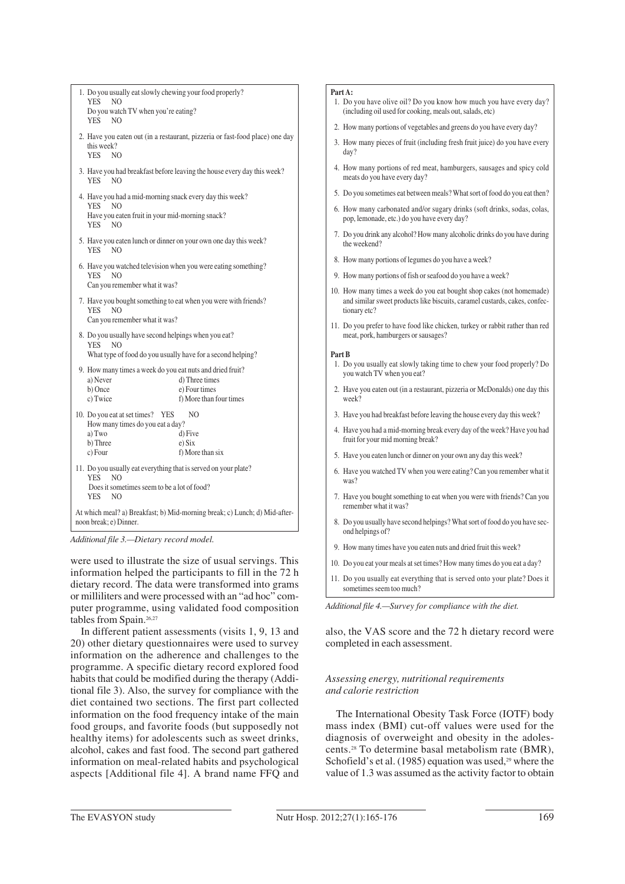| 1. Do you usually eat slowly chewing your food properly?<br><b>YES</b><br>N <sub>O</sub>                                                                                 |                                 |  |
|--------------------------------------------------------------------------------------------------------------------------------------------------------------------------|---------------------------------|--|
| Do you watch TV when you're eating?<br><b>YES</b><br>N <sub>O</sub>                                                                                                      |                                 |  |
| 2. Have you eaten out (in a restaurant, pizzeria or fast-food place) one day<br>this week?<br><b>YES</b><br>N <sub>O</sub>                                               |                                 |  |
| 3. Have you had breakfast before leaving the house every day this week?<br><b>YES</b><br>N <sub>O</sub>                                                                  |                                 |  |
| 4. Have you had a mid-morning snack every day this week?<br><b>YES</b><br>N <sub>O</sub>                                                                                 |                                 |  |
| Have you eaten fruit in your mid-morning snack?<br>N()<br>YES.                                                                                                           |                                 |  |
| 5. Have you eaten lunch or dinner on your own one day this week?<br><b>YES</b><br>N <sub>O</sub>                                                                         |                                 |  |
| 6. Have you watched television when you were eating something?<br><b>YES</b><br>N <sub>O</sub><br>Can you remember what it was?                                          |                                 |  |
| 7. Have you bought something to eat when you were with friends?<br><b>YES</b><br>N <sub>O</sub><br>Can you remember what it was?                                         |                                 |  |
| 8. Do you usually have second helpings when you eat?<br><b>YES</b><br><sub>NO</sub><br>What type of food do you usually have for a second helping?                       |                                 |  |
| 9. How many times a week do you eat nuts and dried fruit?                                                                                                                |                                 |  |
| a) Never<br>b) Once                                                                                                                                                      | d) Three times<br>e) Four times |  |
| c) Twice                                                                                                                                                                 | f) More than four times         |  |
| 10. Do you eat at set times? YES<br>NO.<br>How many times do you eat a day?                                                                                              |                                 |  |
| a) Two                                                                                                                                                                   | d) Five                         |  |
| b) Three<br>e) Six                                                                                                                                                       |                                 |  |
| c) Four                                                                                                                                                                  | f) More than six                |  |
| 11. Do you usually eat everything that is served on your plate?<br>YES.<br>N <sub>O</sub><br>Does it sometimes seem to be a lot of food?<br><b>YES</b><br>N <sub>O</sub> |                                 |  |
| At which meal? a) Breakfast; b) Mid-morning break; c) Lunch; d) Mid-after-<br>noon break; e) Dinner.                                                                     |                                 |  |

*Additional file 3.—Dietary record model.*

were used to illustrate the size of usual servings. This information helped the participants to fill in the 72 h dietary record. The data were transformed into grams or milliliters and were processed with an "ad hoc" computer programme, using validated food composition tables from Spain.<sup>26,27</sup>

In different patient assessments (visits 1, 9, 13 and 20) other dietary questionnaires were used to survey information on the adherence and challenges to the programme. A specific dietary record explored food habits that could be modified during the therapy (Additional file 3). Also, the survey for compliance with the diet contained two sections. The first part collected information on the food frequency intake of the main food groups, and favorite foods (but supposedly not healthy items) for adolescents such as sweet drinks, alcohol, cakes and fast food. The second part gathered information on meal-related habits and psychological aspects [Additional file 4]. A brand name FFQ and

#### **Part A:**

- 1. Do you have olive oil? Do you know how much you have every day? (including oil used for cooking, meals out, salads, etc)
- 2. How many portions of vegetables and greens do you have every day?
- 3. How many pieces of fruit (including fresh fruit juice) do you have every day?
- 4. How many portions of red meat, hamburgers, sausages and spicy cold meats do you have every day?
- 5. Do you sometimes eat between meals? What sort of food do you eat then?
- 6. How many carbonated and/or sugary drinks (soft drinks, sodas, colas, pop, lemonade, etc.) do you have every day?
- 7. Do you drink any alcohol? How many alcoholic drinks do you have during the weekend?
- 8. How many portions of legumes do you have a week?
- 9. How many portions of fish or seafood do you have a week?
- 10. How many times a week do you eat bought shop cakes (not homemade) and similar sweet products like biscuits, caramel custards, cakes, confectionary etc?
- 11. Do you prefer to have food like chicken, turkey or rabbit rather than red meat, pork, hamburgers or sausages?

#### **Part B**

- 1. Do you usually eat slowly taking time to chew your food properly? Do you watch TV when you eat?
- 2. Have you eaten out (in a restaurant, pizzeria or McDonalds) one day this week?
- 3. Have you had breakfast before leaving the house every day this week?
- 4. Have you had a mid-morning break every day of the week? Have you had fruit for your mid morning break?
- 5. Have you eaten lunch or dinner on your own any day this week?
- 6. Have you watched TV when you were eating? Can you remember what it was?
- 7. Have you bought something to eat when you were with friends? Can you remember what it was?
- 8. Do you usually have second helpings? What sort of food do you have second helpings of?
- 9. How many times have you eaten nuts and dried fruit this week?
- 10. Do you eat your meals at set times? How many times do you eat a day?
- 11. Do you usually eat everything that is served onto your plate? Does it sometimes seem too much?

*Additional file 4.—Survey for compliance with the diet.*

also, the VAS score and the 72 h dietary record were completed in each assessment.

## *Assessing energy, nutritional requirements and calorie restriction*

The International Obesity Task Force (IOTF) body mass index (BMI) cut-off values were used for the diagnosis of overweight and obesity in the adolescents.28 To determine basal metabolism rate (BMR), Schofield's et al. (1985) equation was used,<sup>29</sup> where the value of 1.3 was assumed as the activity factor to obtain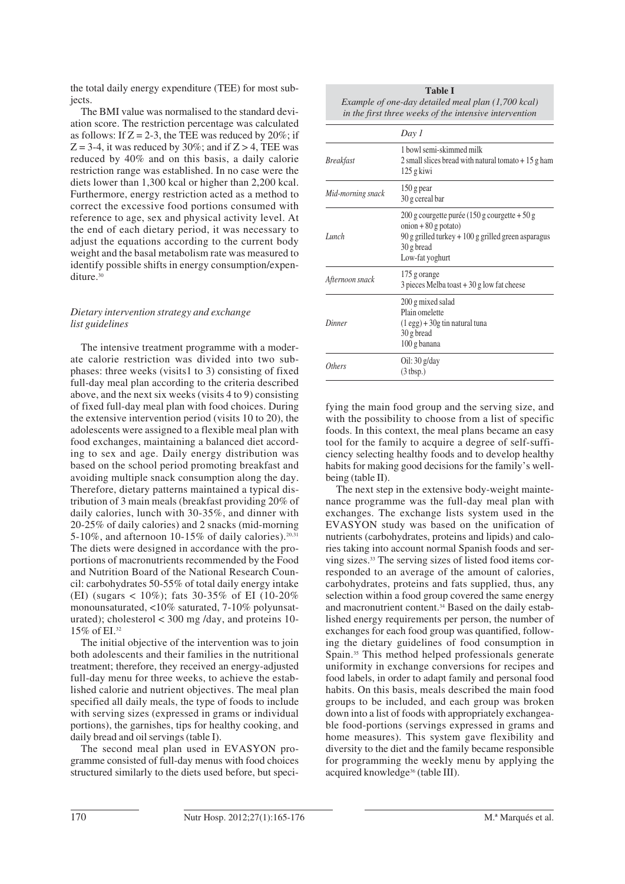the total daily energy expenditure (TEE) for most subiects.

The BMI value was normalised to the standard deviation score. The restriction percentage was calculated as follows: If  $Z = 2-3$ , the TEE was reduced by 20%; if  $Z = 3-4$ , it was reduced by 30%; and if  $Z > 4$ , TEE was reduced by 40% and on this basis, a daily calorie restriction range was established. In no case were the diets lower than 1,300 kcal or higher than 2,200 kcal. Furthermore, energy restriction acted as a method to correct the excessive food portions consumed with reference to age, sex and physical activity level. At the end of each dietary period, it was necessary to adjust the equations according to the current body weight and the basal metabolism rate was measured to identify possible shifts in energy consumption/expenditure.<sup>30</sup>

## *Dietary intervention strategy and exchange list guidelines*

The intensive treatment programme with a moderate calorie restriction was divided into two subphases: three weeks (visits1 to 3) consisting of fixed full-day meal plan according to the criteria described above, and the next six weeks (visits 4 to 9) consisting of fixed full-day meal plan with food choices. During the extensive intervention period (visits 10 to 20), the adolescents were assigned to a flexible meal plan with food exchanges, maintaining a balanced diet according to sex and age. Daily energy distribution was based on the school period promoting breakfast and avoiding multiple snack consumption along the day. Therefore, dietary patterns maintained a typical distribution of 3 main meals (breakfast providing 20% of daily calories, lunch with 30-35%, and dinner with 20-25% of daily calories) and 2 snacks (mid-morning 5-10%, and afternoon 10-15% of daily calories).<sup>20,31</sup> The diets were designed in accordance with the proportions of macronutrients recommended by the Food and Nutrition Board of the National Research Council: carbohydrates 50-55% of total daily energy intake (EI) (sugars < 10%); fats 30-35% of EI (10-20% monounsaturated, <10% saturated, 7-10% polyunsaturated); cholesterol  $<$  300 mg/day, and proteins 10-15% of EI.32

The initial objective of the intervention was to join both adolescents and their families in the nutritional treatment; therefore, they received an energy-adjusted full-day menu for three weeks, to achieve the established calorie and nutrient objectives. The meal plan specified all daily meals, the type of foods to include with serving sizes (expressed in grams or individual portions), the garnishes, tips for healthy cooking, and daily bread and oil servings (table I).

The second meal plan used in EVASYON programme consisted of full-day menus with food choices structured similarly to the diets used before, but speci-

| <b>Table I</b>                                         |
|--------------------------------------------------------|
| Example of one-day detailed meal plan (1,700 kcal)     |
| in the first three weeks of the intensive intervention |

|                   | Day 1                                                                                                                                                                |
|-------------------|----------------------------------------------------------------------------------------------------------------------------------------------------------------------|
| <b>Breakfast</b>  | 1 bowl semi-skimmed milk<br>2 small slices bread with natural tomato $+15$ g ham<br>125 g kiwi                                                                       |
| Mid-morning snack | 150 g pear<br>30 g cereal bar                                                                                                                                        |
| Lunch             | $200$ g courgette purée (150 g courgette + 50 g<br>onion + $80$ g potato)<br>$90$ g grilled turkey $+100$ g grilled green asparagus<br>30 g bread<br>Low-fat yoghurt |
| Afternoon snack   | 175 g orange<br>$3$ pieces Melba toast $+30$ g low fat cheese                                                                                                        |
| Dinner            | 200 g mixed salad<br>Plain omelette<br>$(1 \text{ egg}) + 30g \text{ tin natural tuna}$<br>30 g bread<br>100 g banana                                                |
| <i>Others</i>     | Oil: $30 \frac{g}{day}$<br>(3 tbsp.)                                                                                                                                 |

fying the main food group and the serving size, and with the possibility to choose from a list of specific foods. In this context, the meal plans became an easy tool for the family to acquire a degree of self-sufficiency selecting healthy foods and to develop healthy habits for making good decisions for the family's wellbeing (table II).

The next step in the extensive body-weight maintenance programme was the full-day meal plan with exchanges. The exchange lists system used in the EVASYON study was based on the unification of nutrients (carbohydrates, proteins and lipids) and calories taking into account normal Spanish foods and ser ving sizes.33 The serving sizes of listed food items corresponded to an average of the amount of calories, carbohydrates, proteins and fats supplied, thus, any selection within a food group covered the same energy and macronutrient content.34 Based on the daily established energy requirements per person, the number of exchanges for each food group was quantified, following the dietary guidelines of food consumption in Spain.35 This method helped professionals generate uniformity in exchange conversions for recipes and food labels, in order to adapt family and personal food habits. On this basis, meals described the main food groups to be included, and each group was broken down into a list of foods with appropriately exchangeable food-portions (servings expressed in grams and home measures). This system gave flexibility and diversity to the diet and the family became responsible for programming the weekly menu by applying the acquired knowledge<sup>36</sup> (table III).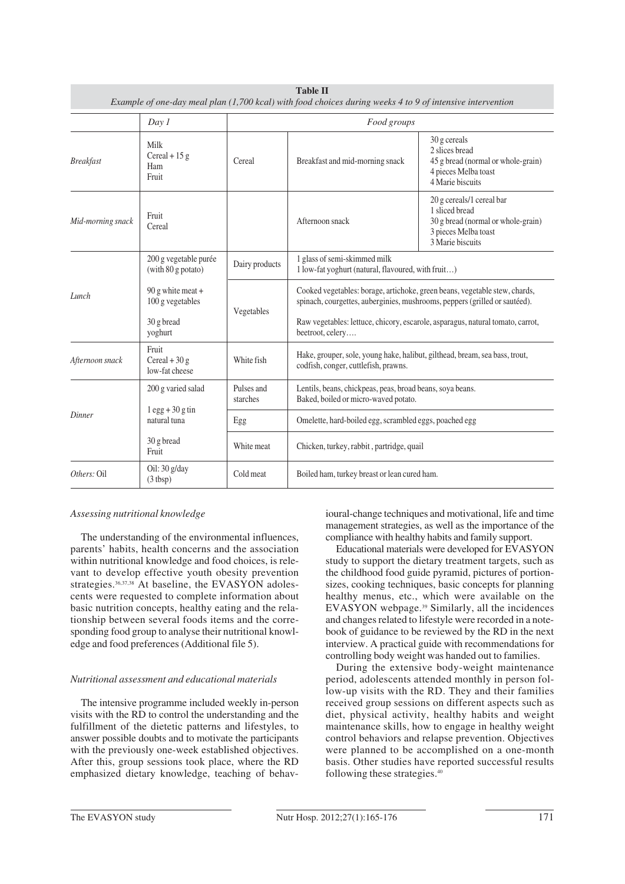|                   |                                                                                                                                                   |                | <b>Table II</b><br>Example of one-day meal plan (1,700 kcal) with food choices during weeks 4 to 9 of intensive intervention                                                                                                                                                                                                     |                                                                                                                               |  |
|-------------------|---------------------------------------------------------------------------------------------------------------------------------------------------|----------------|----------------------------------------------------------------------------------------------------------------------------------------------------------------------------------------------------------------------------------------------------------------------------------------------------------------------------------|-------------------------------------------------------------------------------------------------------------------------------|--|
|                   | Day 1                                                                                                                                             |                | Food groups                                                                                                                                                                                                                                                                                                                      |                                                                                                                               |  |
| <b>Breakfast</b>  | Milk<br>Cereal + $15 g$<br>Ham<br>Fruit                                                                                                           | Cereal         | Breakfast and mid-morning snack                                                                                                                                                                                                                                                                                                  | 30 g cereals<br>2 slices bread<br>45 g bread (normal or whole-grain)<br>4 pieces Melba toast<br>4 Marie biscuits              |  |
| Mid-morning snack | Fruit<br>Cereal                                                                                                                                   |                | Afternoon snack                                                                                                                                                                                                                                                                                                                  | 20 g cereals/1 cereal bar<br>1 sliced bread<br>30 g bread (normal or whole-grain)<br>3 pieces Melba toast<br>3 Marie biscuits |  |
|                   | 200 g vegetable purée<br>$(with 80 g$ potato)                                                                                                     | Dairy products | 1 glass of semi-skimmed milk<br>1 low-fat yoghurt (natural, flavoured, with fruit)<br>Cooked vegetables: borage, artichoke, green beans, vegetable stew, chards,<br>spinach, courgettes, auberginies, mushrooms, peppers (grilled or sautéed).<br>Raw vegetables: lettuce, chicory, escarole, asparagus, natural tomato, carrot, |                                                                                                                               |  |
| Lunch             | 90 g white meat $+$<br>100 g vegetables<br>30 g bread                                                                                             | Vegetables     |                                                                                                                                                                                                                                                                                                                                  |                                                                                                                               |  |
| Afternoon snack   | yoghurt<br>Fruit<br>Cereal + $30 g$<br>low-fat cheese                                                                                             | White fish     | beetroot, celery<br>Hake, grouper, sole, young hake, halibut, gilthead, bream, sea bass, trout,<br>codfish, conger, cuttlefish, prawns.                                                                                                                                                                                          |                                                                                                                               |  |
|                   | Pulses and<br>Lentils, beans, chickpeas, peas, broad beans, soya beans.<br>200 g varied salad<br>starches<br>Baked, boiled or micro-waved potato. |                |                                                                                                                                                                                                                                                                                                                                  |                                                                                                                               |  |
| Dinner            | $1 \text{ egg} + 30 \text{ g tin}$<br>natural tuna                                                                                                | Egg            | Omelette, hard-boiled egg, scrambled eggs, poached egg                                                                                                                                                                                                                                                                           |                                                                                                                               |  |
|                   | 30 g bread<br>Fruit                                                                                                                               | White meat     | Chicken, turkey, rabbit, partridge, quail                                                                                                                                                                                                                                                                                        |                                                                                                                               |  |
| Others: Oil       | Oil: 30 g/day<br>(3 tbsp)                                                                                                                         | Cold meat      | Boiled ham, turkey breast or lean cured ham.                                                                                                                                                                                                                                                                                     |                                                                                                                               |  |

## *Assessing nutritional knowledge*

The understanding of the environmental influences, parents' habits, health concerns and the association within nutritional knowledge and food choices, is relevant to develop effective youth obesity prevention strategies.<sup>36,37,38</sup> At baseline, the EVASYON adolescents were requested to complete information about basic nutrition concepts, healthy eating and the relationship between several foods items and the corresponding food group to analyse their nutritional knowledge and food preferences (Additional file 5).

## *Nutritional assessment and educational materials*

The intensive programme included weekly in-person visits with the RD to control the understanding and the fulfillment of the dietetic patterns and lifestyles, to answer possible doubts and to motivate the participants with the previously one-week established objectives. After this, group sessions took place, where the RD emphasized dietary knowledge, teaching of behavioural-change techniques and motivational, life and time management strategies, as well as the importance of the compliance with healthy habits and family support.

Educational materials were developed for EVASYON study to support the dietary treatment targets, such as the childhood food guide pyramid, pictures of portionsizes, cooking techniques, basic concepts for planning healthy menus, etc., which were available on the EVASYON webpage.39 Similarly, all the incidences and changes related to lifestyle were recorded in a notebook of guidance to be reviewed by the RD in the next interview. A practical guide with recommendations for controlling body weight was handed out to families.

During the extensive body-weight maintenance period, adolescents attended monthly in person follow-up visits with the RD. They and their families received group sessions on different aspects such as diet, physical activity, healthy habits and weight maintenance skills, how to engage in healthy weight control behaviors and relapse prevention. Objectives were planned to be accomplished on a one-month basis. Other studies have reported successful results following these strategies.40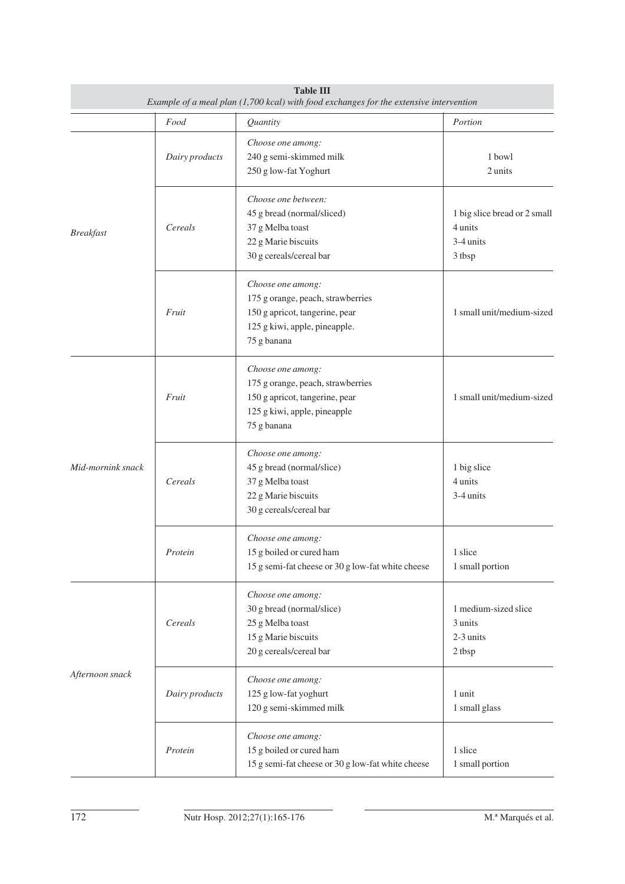| <b>Table III</b><br>Example of a meal plan (1,700 kcal) with food exchanges for the extensive intervention |                |                                                                                                                                          |                                                                |
|------------------------------------------------------------------------------------------------------------|----------------|------------------------------------------------------------------------------------------------------------------------------------------|----------------------------------------------------------------|
|                                                                                                            | Food           | Quantity                                                                                                                                 | Portion                                                        |
|                                                                                                            | Dairy products | Choose one among:<br>240 g semi-skimmed milk<br>250 g low-fat Yoghurt                                                                    | 1 bowl<br>2 units                                              |
| Cereals<br><b>Breakfast</b><br>Fruit                                                                       |                | Choose one between:<br>45 g bread (normal/sliced)<br>37 g Melba toast<br>22 g Marie biscuits<br>30 g cereals/cereal bar                  | 1 big slice bread or 2 small<br>4 units<br>3-4 units<br>3 tbsp |
|                                                                                                            |                | Choose one among:<br>175 g orange, peach, strawberries<br>150 g apricot, tangerine, pear<br>125 g kiwi, apple, pineapple.<br>75 g banana | 1 small unit/medium-sized                                      |
|                                                                                                            | Fruit          | Choose one among:<br>175 g orange, peach, strawberries<br>150 g apricot, tangerine, pear<br>125 g kiwi, apple, pineapple<br>75 g banana  | 1 small unit/medium-sized                                      |
| Mid-mornink snack                                                                                          | Cereals        | Choose one among:<br>45 g bread (normal/slice)<br>37 g Melba toast<br>22 g Marie biscuits<br>30 g cereals/cereal bar                     | 1 big slice<br>4 units<br>3-4 units                            |
|                                                                                                            | Protein        | Choose one among:<br>15 g boiled or cured ham<br>15 g semi-fat cheese or 30 g low-fat white cheese                                       | 1 slice<br>1 small portion                                     |
|                                                                                                            | Cereals        | Choose one among:<br>30 g bread (normal/slice)<br>25 g Melba toast<br>15 g Marie biscuits<br>20 g cereals/cereal bar                     | 1 medium-sized slice<br>3 units<br>2-3 units<br>2 tbsp         |
| Afternoon snack                                                                                            | Dairy products | Choose one among:<br>125 g low-fat yoghurt<br>120 g semi-skimmed milk                                                                    | 1 unit<br>1 small glass                                        |
|                                                                                                            | Protein        | Choose one among:<br>15 g boiled or cured ham<br>15 g semi-fat cheese or 30 g low-fat white cheese                                       | 1 slice<br>1 small portion                                     |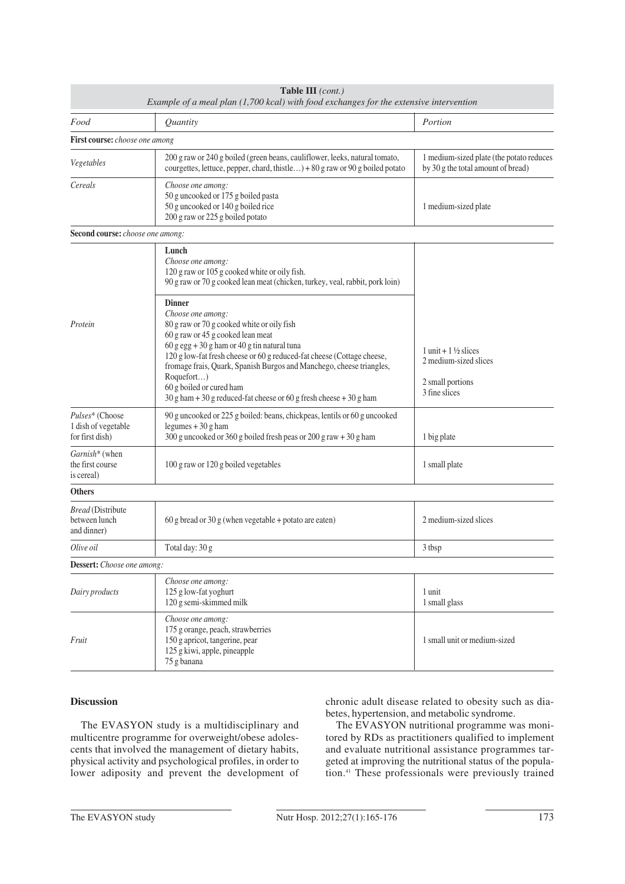|                                                           | Table III (cont.)<br>Example of a meal plan (1,700 kcal) with food exchanges for the extensive intervention                                                                                                                                                                                                                                                                                                                                 |                                                                                                |
|-----------------------------------------------------------|---------------------------------------------------------------------------------------------------------------------------------------------------------------------------------------------------------------------------------------------------------------------------------------------------------------------------------------------------------------------------------------------------------------------------------------------|------------------------------------------------------------------------------------------------|
| Food                                                      | Quantity                                                                                                                                                                                                                                                                                                                                                                                                                                    | Portion                                                                                        |
| First course: choose one among                            |                                                                                                                                                                                                                                                                                                                                                                                                                                             |                                                                                                |
| Vegetables                                                | 200 g raw or 240 g boiled (green beans, cauliflower, leeks, natural tomato,<br>courgettes, lettuce, pepper, chard, thistle) + 80 g raw or 90 g boiled potato                                                                                                                                                                                                                                                                                | 1 medium-sized plate (the potato reduces<br>by 30 g the total amount of bread)                 |
| Cereals                                                   | Choose one among:<br>50 g uncooked or 175 g boiled pasta<br>50 g uncooked or 140 g boiled rice<br>200 g raw or 225 g boiled potato                                                                                                                                                                                                                                                                                                          | 1 medium-sized plate                                                                           |
| Second course: choose one among:                          |                                                                                                                                                                                                                                                                                                                                                                                                                                             |                                                                                                |
|                                                           | Lunch<br>Choose one among:<br>120 g raw or 105 g cooked white or oily fish.<br>90 g raw or 70 g cooked lean meat (chicken, turkey, veal, rabbit, pork loin)                                                                                                                                                                                                                                                                                 |                                                                                                |
| Protein                                                   | <b>Dinner</b><br>Choose one among:<br>80 g raw or 70 g cooked white or oily fish<br>60 g raw or 45 g cooked lean meat<br>$60 g egg + 30 g ham or 40 g tin natural tuna$<br>120 g low-fat fresh cheese or 60 g reduced-fat cheese (Cottage cheese,<br>fromage frais, Quark, Spanish Burgos and Manchego, cheese triangles,<br>Roquefort)<br>60 g boiled or cured ham<br>$30 g$ ham + 30 g reduced-fat cheese or 60 g fresh cheese + 30 g ham | $1$ unit + $1\frac{1}{2}$ slices<br>2 medium-sized slices<br>2 small portions<br>3 fine slices |
| Pulses* (Choose<br>1 dish of vegetable<br>for first dish) | 90 g uncooked or 225 g boiled: beans, chickpeas, lentils or 60 g uncooked<br>legumes $+30$ g ham<br>300 g uncooked or 360 g boiled fresh peas or 200 g raw + 30 g ham                                                                                                                                                                                                                                                                       | 1 big plate                                                                                    |
| Garnish* (when<br>the first course<br>is cereal)          | 100 g raw or 120 g boiled vegetables                                                                                                                                                                                                                                                                                                                                                                                                        | 1 small plate                                                                                  |
| <b>Others</b>                                             |                                                                                                                                                                                                                                                                                                                                                                                                                                             |                                                                                                |
| <b>Bread</b> (Distribute<br>between lunch<br>and dinner)  | 60 g bread or 30 g (when vegetable + potato are eaten)                                                                                                                                                                                                                                                                                                                                                                                      | 2 medium-sized slices                                                                          |
| Olive oil                                                 | Total day: 30 g                                                                                                                                                                                                                                                                                                                                                                                                                             | 3 tbsp                                                                                         |
| Dessert: Choose one among:                                |                                                                                                                                                                                                                                                                                                                                                                                                                                             |                                                                                                |
| Dairy products                                            | Choose one among:<br>125 g low-fat yoghurt<br>120 g semi-skimmed milk                                                                                                                                                                                                                                                                                                                                                                       | 1 unit<br>1 small glass                                                                        |
| Fruit                                                     | Choose one among:<br>175 g orange, peach, strawberries<br>150 g apricot, tangerine, pear<br>125 g kiwi, apple, pineapple<br>75 g banana                                                                                                                                                                                                                                                                                                     | 1 small unit or medium-sized                                                                   |

## **Discussion**

The EVASYON study is a multidisciplinary and multicentre programme for overweight/obese adolescents that involved the management of dietary habits, physical activity and psychological profiles, in order to lower adiposity and prevent the development of chronic adult disease related to obesity such as diabetes, hypertension, and metabolic syndrome.

The EVASYON nutritional programme was monitored by RDs as practitioners qualified to implement and evaluate nutritional assistance programmes targeted at improving the nutritional status of the population.41 These professionals were previously trained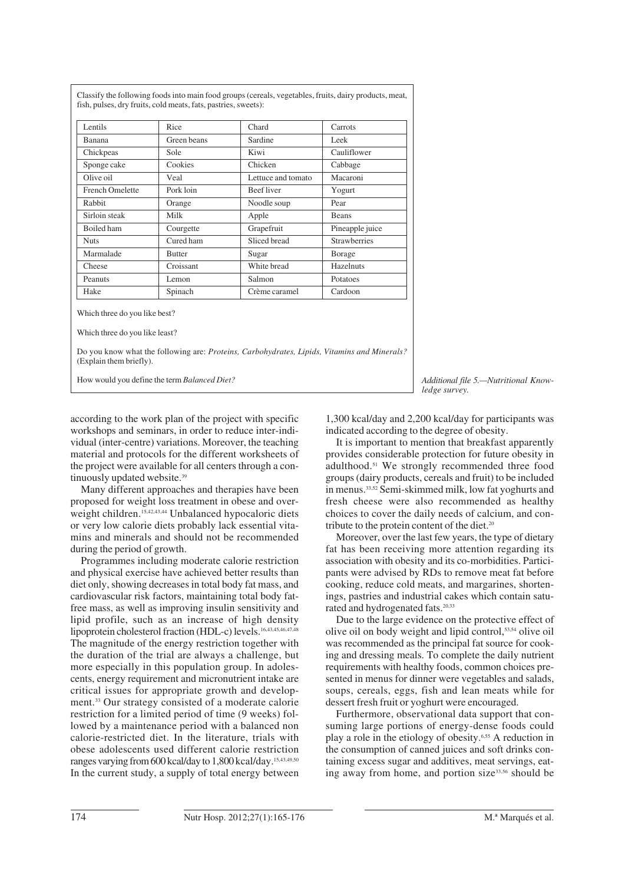| Lentils                                                         | Rice          | Chard                                                                                       | Carrots             |
|-----------------------------------------------------------------|---------------|---------------------------------------------------------------------------------------------|---------------------|
| Banana                                                          | Green beans   | Sardine                                                                                     | Leek                |
| Chickpeas                                                       | Sole          | Kiwi                                                                                        | Cauliflower         |
| Sponge cake                                                     | Cookies       | Chicken                                                                                     | Cabbage             |
| Olive oil                                                       | Veal          | Lettuce and tomato                                                                          | Macaroni            |
| <b>French Omelette</b>                                          | Pork loin     | <b>Beefliver</b>                                                                            | Yogurt              |
| Rabbit                                                          | Orange        | Noodle soup                                                                                 | Pear                |
| Sirloin steak                                                   | Milk          | Apple                                                                                       | <b>Beans</b>        |
| Boiled ham                                                      | Courgette     | Grapefruit                                                                                  | Pineapple juice     |
| <b>Nuts</b>                                                     | Cured ham     | Sliced bread                                                                                | <b>Strawberries</b> |
| Marmalade                                                       | <b>Butter</b> | Sugar                                                                                       | Borage              |
| Cheese                                                          | Croissant     | White bread                                                                                 | Hazelnuts           |
| Peanuts                                                         | Lemon         | Salmon                                                                                      | Potatoes            |
| Hake                                                            | Spinach       | Crème caramel                                                                               | Cardoon             |
| Which three do you like best?<br>Which three do you like least? |               |                                                                                             |                     |
| (Explain them briefly).                                         |               | Do you know what the following are: Proteins, Carbohydrates, Lipids, Vitamins and Minerals? |                     |
|                                                                 |               |                                                                                             |                     |

Classify the following foods into main food groups (cereals, vegetables, fruits, dairy products, meat,

Additional file 5.—Nutritional Know*ledge survey.*

according to the work plan of the project with specific workshops and seminars, in order to reduce inter-individual (inter-centre) variations. Moreover, the teaching material and protocols for the different worksheets of the project were available for all centers through a continuously updated website.<sup>39</sup>

Many different approaches and therapies have been proposed for weight loss treatment in obese and overweight children.<sup>15,42,43,44</sup> Unbalanced hypocaloric diets or very low calorie diets probably lack essential vitamins and minerals and should not be recommended during the period of growth.

Programmes including moderate calorie restriction and physical exercise have achieved better results than diet only, showing decreases in total body fat mass, and cardiovascular risk factors, maintaining total body fatfree mass, as well as improving insulin sensitivity and lipid profile, such as an increase of high density lipoprotein cholesterol fraction (HDL-c) levels.16,43,45,46,47,48 The magnitude of the energy restriction together with the duration of the trial are always a challenge, but more especially in this population group. In adolescents, energy requirement and micronutrient intake are critical issues for appropriate growth and development.33 Our strategy consisted of a moderate calorie restriction for a limited period of time (9 weeks) followed by a maintenance period with a balanced non calorie-restricted diet. In the literature, trials with obese adolescents used different calorie restriction ranges varying from 600 kcal/day to 1,800 kcal/day.15,43,49,50 In the current study, a supply of total energy between

1,300 kcal/day and 2,200 kcal/day for participants was indicated according to the degree of obesity.

It is important to mention that breakfast apparently provides considerable protection for future obesity in adulthood.51 We strongly recommended three food groups (dairy products, cereals and fruit) to be included in menus.33,52 Semi-skimmed milk, low fat yoghurts and fresh cheese were also recommended as healthy choices to cover the daily needs of calcium, and contribute to the protein content of the diet.<sup>20</sup>

Moreover, over the last few years, the type of dietary fat has been receiving more attention regarding its association with obesity and its co-morbidities. Participants were advised by RDs to remove meat fat before cooking, reduce cold meats, and margarines, shortenings, pastries and industrial cakes which contain saturated and hydrogenated fats.20,33

Due to the large evidence on the protective effect of olive oil on body weight and lipid control,53,54 olive oil was recommended as the principal fat source for cooking and dressing meals. To complete the daily nutrient requirements with healthy foods, common choices presented in menus for dinner were vegetables and salads, soups, cereals, eggs, fish and lean meats while for dessert fresh fruit or yoghurt were encouraged.

Furthermore, observational data support that consuming large portions of energy-dense foods could play a role in the etiology of obesity.6,55 A reduction in the consumption of canned juices and soft drinks containing excess sugar and additives, meat servings, eating away from home, and portion size<sup>33,56</sup> should be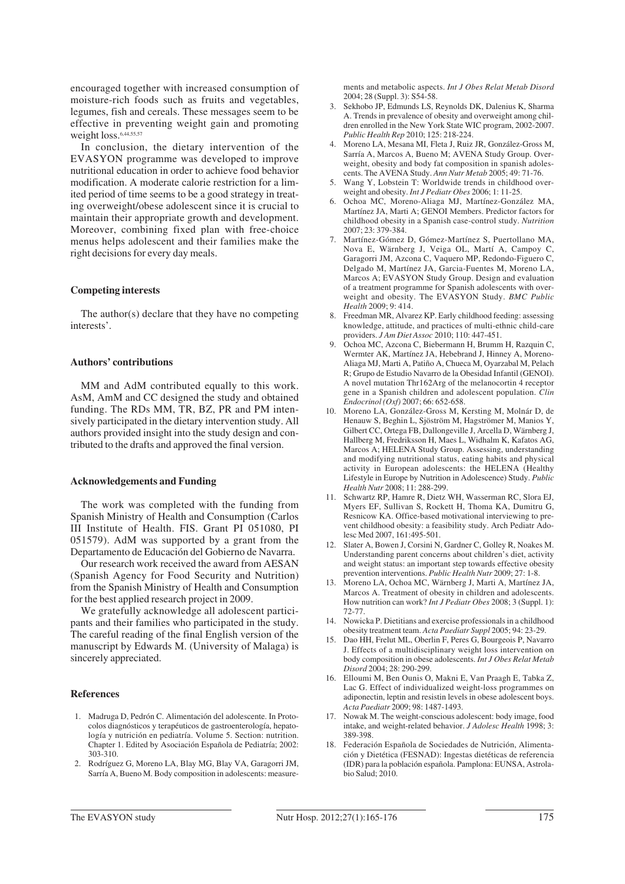encouraged together with increased consumption of moisture-rich foods such as fruits and vegetables, legumes, fish and cereals. These messages seem to be effective in preventing weight gain and promoting weight loss.<sup>6,44,55,57</sup>

In conclusion, the dietary intervention of the EVASYON programme was developed to improve nutritional education in order to achieve food behavior modification. A moderate calorie restriction for a limited period of time seems to be a good strategy in treating overweight/obese adolescent since it is crucial to maintain their appropriate growth and development. Moreover, combining fixed plan with free-choice menus helps adolescent and their families make the right decisions for every day meals.

## **Competing interests**

The author(s) declare that they have no competing interests'.

## **Authors' contributions**

MM and AdM contributed equally to this work. AsM, AmM and CC designed the study and obtained funding. The RDs MM, TR, BZ, PR and PM intensively participated in the dietary intervention study. All authors provided insight into the study design and contributed to the drafts and approved the final version.

## **Acknowledgements and Funding**

The work was completed with the funding from Spanish Ministry of Health and Consumption (Carlos III Institute of Health. FIS. Grant PI 051080, PI 051579). AdM was supported by a grant from the Departamento de Educación del Gobierno de Navarra.

Our research work received the award from AESAN (Spanish Agency for Food Security and Nutrition) from the Spanish Ministry of Health and Consumption for the best applied research project in 2009.

We gratefully acknowledge all adolescent participants and their families who participated in the study. The careful reading of the final English version of the manuscript by Edwards M. (University of Malaga) is sincerely appreciated.

## **References**

- 1. Madruga D, Pedrón C. Alimentación del adolescente. In Protocolos diagnósticos y terapéuticos de gastroenterología, hepatología y nutrición en pediatría. Volume 5. Section: nutrition. Chapter 1. Edited by Asociación Española de Pediatría; 2002: 303-310.
- 2. Rodríguez G, Moreno LA, Blay MG, Blay VA, Garagorri JM, Sarría A, Bueno M. Body composition in adolescents: measure-

ments and metabolic aspects. *Int J Obes Relat Metab Disord* 2004; 28 (Suppl. 3): S54-58.

- 3. Sekhobo JP, Edmunds LS, Reynolds DK, Dalenius K, Sharma A. Trends in prevalence of obesity and overweight among children enrolled in the New York State WIC program, 2002-2007. *Public Health Rep* 2010; 125: 218-224.
- 4. Moreno LA, Mesana MI, Fleta J, Ruiz JR, González-Gross M, Sarría A, Marcos A, Bueno M; AVENA Study Group. Overweight, obesity and body fat composition in spanish adolescents. The AVENA Study. *Ann Nutr Metab* 2005; 49: 71-76.
- 5. Wang Y, Lobstein T: Worldwide trends in childhood overweight and obesity. *Int J Pediatr Obes* 2006; 1: 11-25.
- 6. Ochoa MC, Moreno-Aliaga MJ, Martínez-González MA, Martínez JA, Marti A; GENOI Members. Predictor factors for childhood obesity in a Spanish case-control study. *Nutrition* 2007; 23: 379-384.
- 7. Martínez-Gómez D, Gómez-Martínez S, Puertollano MA, Nova E, Wärnberg J, Veiga OL, Martí A, Campoy C, Garagorri JM, Azcona C, Vaquero MP, Redondo-Figuero C, Delgado M, Martínez JA, Garcia-Fuentes M, Moreno LA, Marcos A; EVASYON Study Group. Design and evaluation of a treatment programme for Spanish adolescents with overweight and obesity. The EVASYON Study. *BMC Public Health* 2009; 9: 414.
- 8. Freedman MR, Alvarez KP. Early childhood feeding: assessing knowledge, attitude, and practices of multi-ethnic child-care providers. *J Am Diet Assoc* 2010; 110: 447-451.
- 9. Ochoa MC, Azcona C, Biebermann H, Brumm H, Razquin C, Wermter AK, Martínez JA, Hebebrand J, Hinney A, Moreno-Aliaga MJ, Marti A, Patiño A, Chueca M, Oyarzabal M, Pelach R; Grupo de Estudio Navarro de la Obesidad Infantil (GENOI). A novel mutation Thr162Arg of the melanocortin 4 receptor gene in a Spanish children and adolescent population. *Clin Endocrinol (Oxf)* 2007; 66: 652-658.
- 10. Moreno LA, González-Gross M, Kersting M, Molnár D, de Henauw S, Beghin L, Sjöström M, Hagströmer M, Manios Y, Gilbert CC, Ortega FB, Dallongeville J, Arcella D, Wärnberg J, Hallberg M, Fredriksson H, Maes L, Widhalm K, Kafatos AG, Marcos A; HELENA Study Group. Assessing, understanding and modifying nutritional status, eating habits and physical activity in European adolescents: the HELENA (Healthy Lifestyle in Europe by Nutrition in Adolescence) Study. *Public Health Nutr* 2008; 11: 288-299.
- 11. Schwartz RP, Hamre R, Dietz WH, Wasserman RC, Slora EJ, Myers EF, Sullivan S, Rockett H, Thoma KA, Dumitru G, Resnicow KA. Office-based motivational interviewing to prevent childhood obesity: a feasibility study. Arch Pediatr Adolesc Med 2007, 161:495-501.
- 12. Slater A, Bowen J, Corsini N, Gardner C, Golley R, Noakes M. Understanding parent concerns about children's diet, activity and weight status: an important step towards effective obesity prevention interventions. *Public Health Nutr* 2009; 27: 1-8.
- 13. Moreno LA, Ochoa MC, Wärnberg J, Marti A, Martínez JA, Marcos A. Treatment of obesity in children and adolescents. How nutrition can work? *Int J Pediatr Obes* 2008; 3 (Suppl. 1): 72-77.
- 14. Nowicka P. Dietitians and exercise professionals in a childhood obesity treatment team. *Acta Paediatr Suppl* 2005; 94: 23-29.
- 15. Dao HH, Frelut ML, Oberlin F, Peres G, Bourgeois P, Navarro J. Effects of a multidisciplinary weight loss intervention on body composition in obese adolescents. *Int J Obes Relat Metab Disord* 2004; 28: 290-299.
- 16. Elloumi M, Ben Ounis O, Makni E, Van Praagh E, Tabka Z, Lac G. Effect of individualized weight-loss programmes on adiponectin, leptin and resistin levels in obese adolescent boys. *Acta Paediatr* 2009; 98: 1487-1493.
- 17. Nowak M. The weight-conscious adolescent: body image, food intake, and weight-related behavior. *J Adolesc Health* 1998; 3: 389-398.
- 18. Federación Española de Sociedades de Nutrición, Alimentación y Dietética (FESNAD): Ingestas dietéticas de referencia (IDR) para la población española. Pamplona: EUNSA, Astrolabio Salud; 2010.